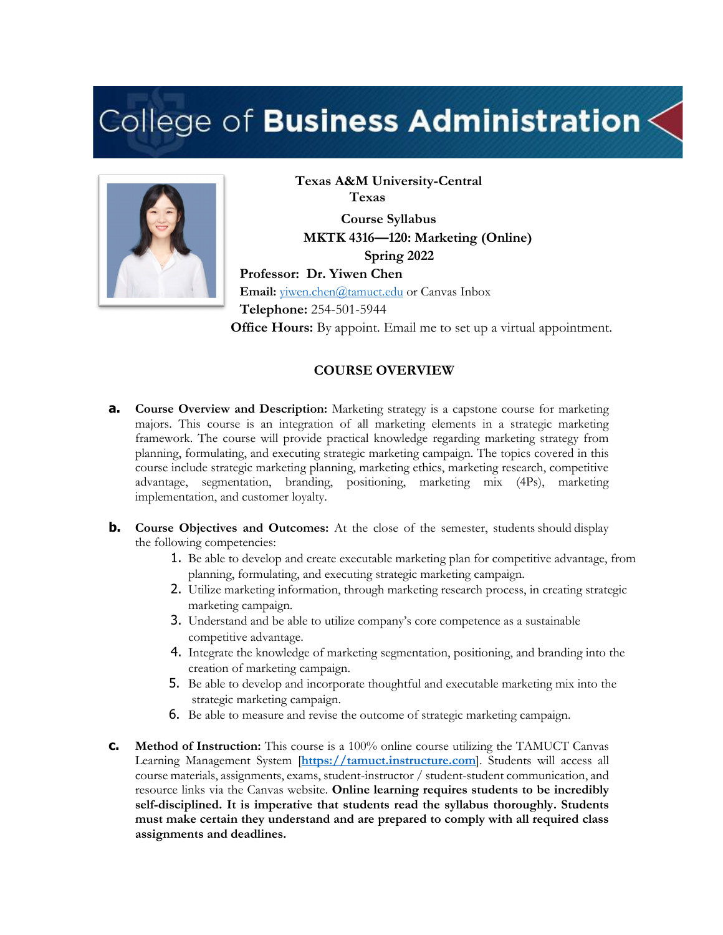# College of Business Administration $\lt$



**Texas A&M University-Central Texas Course Syllabus MKTK 4316—120: Marketing (Online) Spring 2022 Professor: Dr. Yiwen Chen Email:** yiwen.chen@tamuct.edu or Canvas Inbox **Telephone:** 254-501-5944 **Office Hours:** By appoint. Email me to set up a virtual appointment.

#### **COURSE OVERVIEW**

- **a. Course Overview and Description:** Marketing strategy is a capstone course for marketing majors. This course is an integration of all marketing elements in a strategic marketing framework. The course will provide practical knowledge regarding marketing strategy from planning, formulating, and executing strategic marketing campaign. The topics covered in this course include strategic marketing planning, marketing ethics, marketing research, competitive advantage, segmentation, branding, positioning, marketing mix (4Ps), marketing implementation, and customer loyalty.
- **b. Course Objectives and Outcomes:** At the close of the semester, students should display the following competencies:
	- 1. Be able to develop and create executable marketing plan for competitive advantage, from planning, formulating, and executing strategic marketing campaign.
	- 2. Utilize marketing information, through marketing research process, in creating strategic marketing campaign.
	- 3. Understand and be able to utilize company's core competence as a sustainable competitive advantage.
	- 4. Integrate the knowledge of marketing segmentation, positioning, and branding into the creation of marketing campaign.
	- 5. Be able to develop and incorporate thoughtful and executable marketing mix into the strategic marketing campaign.
	- 6. Be able to measure and revise the outcome of strategic marketing campaign.
- **c. Method of Instruction:** This course is a 100% online course utilizing the TAMUCT Canvas Learning Management System [**https://tamuct.instructure.com**]. Students will access all course materials, assignments, exams, student-instructor / student-student communication, and resource links via the Canvas website. **Online learning requires students to be incredibly self-disciplined. It is imperative that students read the syllabus thoroughly. Students must make certain they understand and are prepared to comply with all required class assignments and deadlines.**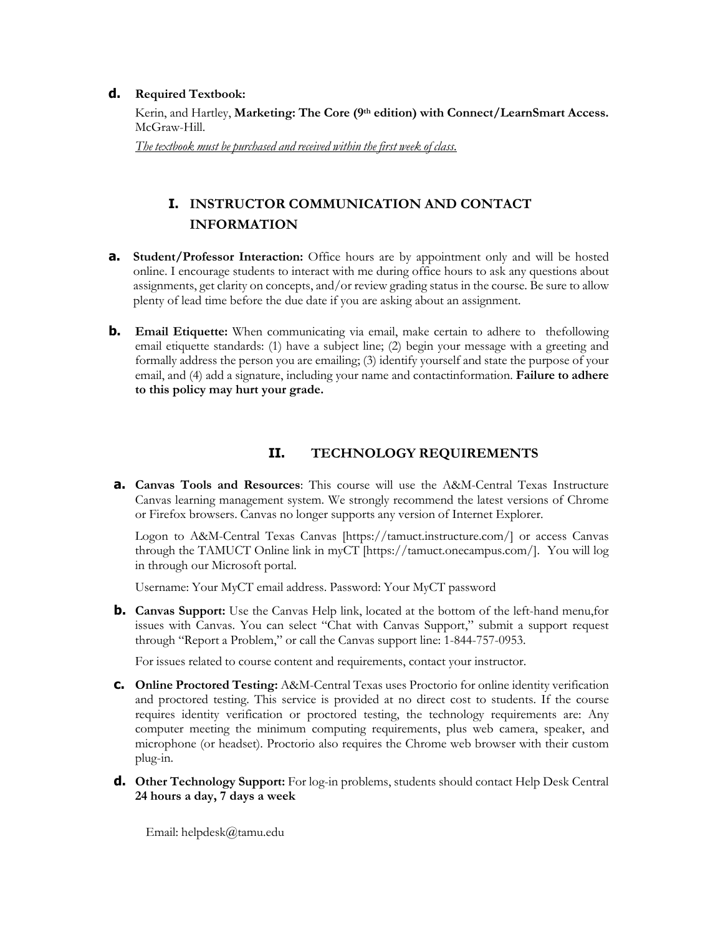#### **d. Required Textbook:**

Kerin, and Hartley, **Marketing: The Core (9th edition) with Connect/LearnSmart Access.** McGraw-Hill.

*The textbook must be purchased and received within the first week of class.*

# **I. INSTRUCTOR COMMUNICATION AND CONTACT INFORMATION**

- **a. Student/Professor Interaction:** Office hours are by appointment only and will be hosted online. I encourage students to interact with me during office hours to ask any questions about assignments, get clarity on concepts, and/or review grading status in the course. Be sure to allow plenty of lead time before the due date if you are asking about an assignment.
- **b. Email Etiquette:** When communicating via email, make certain to adhere to the following email etiquette standards: (1) have a subject line; (2) begin your message with a greeting and formally address the person you are emailing; (3) identify yourself and state the purpose of your email, and (4) add a signature, including your name and contactinformation. **Failure to adhere to this policy may hurt your grade.**

## **II. TECHNOLOGY REQUIREMENTS**

**a. Canvas Tools and Resources**: This course will use the A&M-Central Texas Instructure Canvas learning management system. We strongly recommend the latest versions of Chrome or Firefox browsers. Canvas no longer supports any version of Internet Explorer.

Logon to A&M-Central Texas Canvas [https://tamuct.instructure.com/] or access Canvas through the TAMUCT Online link in myCT [https://tamuct.onecampus.com/]. You will log in through our Microsoft portal.

Username: Your MyCT email address. Password: Your MyCT password

**b. Canvas Support:** Use the Canvas Help link, located at the bottom of the left-hand menu, for issues with Canvas. You can select "Chat with Canvas Support," submit a support request through "Report a Problem," or call the Canvas support line: 1-844-757-0953.

For issues related to course content and requirements, contact your instructor.

- **c. Online Proctored Testing:** A&M-Central Texas uses Proctorio for online identity verification and proctored testing. This service is provided at no direct cost to students. If the course requires identity verification or proctored testing, the technology requirements are: Any computer meeting the minimum computing requirements, plus web camera, speaker, and microphone (or headset). Proctorio also requires the Chrome web browser with their custom plug-in.
- **d. Other Technology Support:** For log-in problems, students should contact Help Desk Central **24 hours a day, 7 days a week**

Email: helpdesk@tamu.edu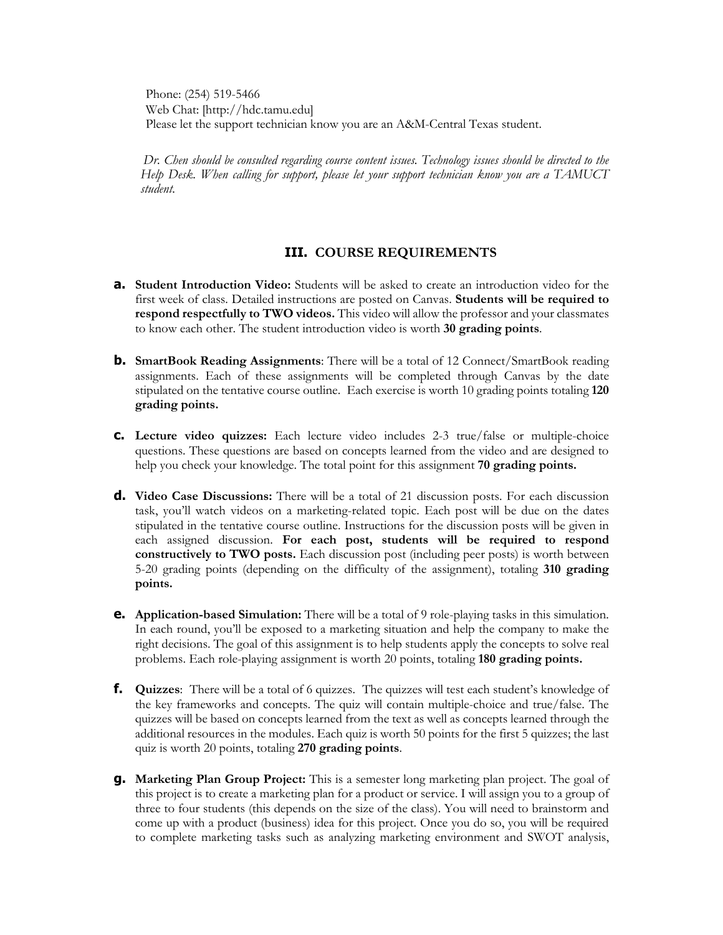Phone: (254) 519-5466 Web Chat: [http://hdc.tamu.edu] Please let the support technician know you are an A&M-Central Texas student.

*Dr. Chen should be consulted regarding course content issues. Technology issues should be directed to the Help Desk. When calling for support, please let your support technician know you are a TAMUCT student.*

#### **III. COURSE REQUIREMENTS**

- **a. Student Introduction Video:** Students will be asked to create an introduction video for the first week of class. Detailed instructions are posted on Canvas. **Students will be required to respond respectfully to TWO videos.** This video will allow the professor and your classmates to know each other. The student introduction video is worth **30 grading points**.
- **b. SmartBook Reading Assignments**: There will be a total of 12 Connect/SmartBook reading assignments. Each of these assignments will be completed through Canvas by the date stipulated on the tentative course outline. Each exercise is worth 10 grading points totaling **120 grading points.**
- **c. Lecture video quizzes:** Each lecture video includes 2-3 true/false or multiple-choice questions. These questions are based on concepts learned from the video and are designed to help you check your knowledge. The total point for this assignment **70 grading points.**
- **d. Video Case Discussions:** There will be a total of 21 discussion posts. For each discussion task, you'll watch videos on a marketing-related topic. Each post will be due on the dates stipulated in the tentative course outline. Instructions for the discussion posts will be given in each assigned discussion. **For each post, students will be required to respond constructively to TWO posts.** Each discussion post (including peer posts) is worth between 5-20 grading points (depending on the difficulty of the assignment), totaling **310 grading points.**
- **e. Application-based Simulation:** There will be a total of 9 role-playing tasks in this simulation. In each round, you'll be exposed to a marketing situation and help the company to make the right decisions. The goal of this assignment is to help students apply the concepts to solve real problems. Each role-playing assignment is worth 20 points, totaling **180 grading points.**
- **f.** Quizzes: There will be a total of 6 quizzes. The quizzes will test each student's knowledge of the key frameworks and concepts. The quiz will contain multiple-choice and true/false. The quizzes will be based on concepts learned from the text as well as concepts learned through the additional resources in the modules. Each quiz is worth 50 points for the first 5 quizzes; the last quiz is worth 20 points, totaling **270 grading points**.
- **g. Marketing Plan Group Project:** This is a semester long marketing plan project. The goal of this project is to create a marketing plan for a product or service. I will assign you to a group of three to four students (this depends on the size of the class). You will need to brainstorm and come up with a product (business) idea for this project. Once you do so, you will be required to complete marketing tasks such as analyzing marketing environment and SWOT analysis,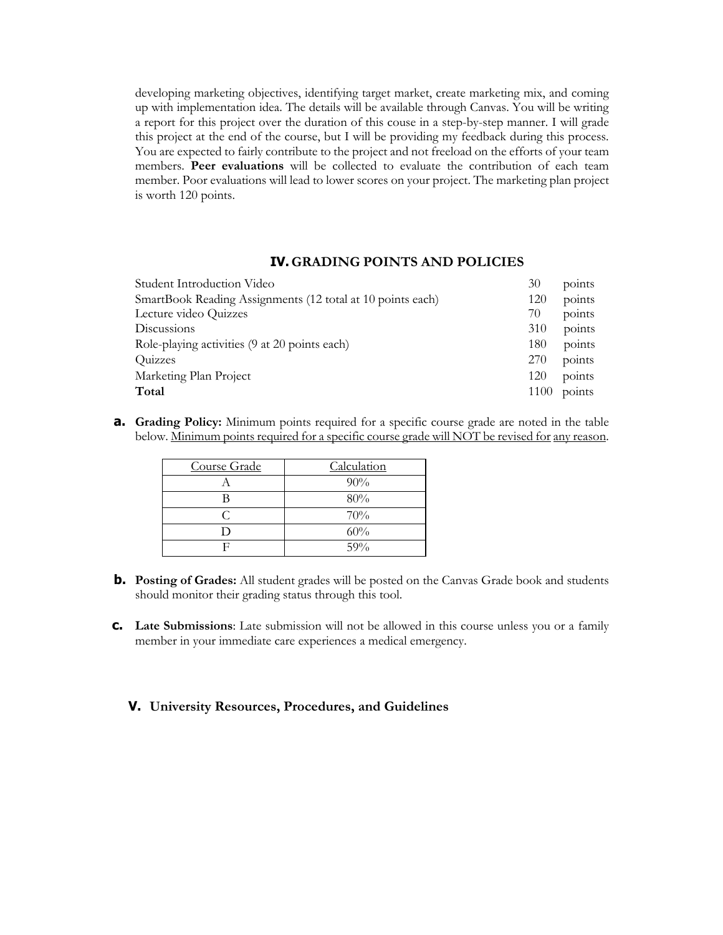developing marketing objectives, identifying target market, create marketing mix, and coming up with implementation idea. The details will be available through Canvas. You will be writing a report for this project over the duration of this couse in a step-by-step manner. I will grade this project at the end of the course, but I will be providing my feedback during this process. You are expected to fairly contribute to the project and not freeload on the efforts of your team members. **Peer evaluations** will be collected to evaluate the contribution of each team member. Poor evaluations will lead to lower scores on your project. The marketing plan project is worth 120 points.

#### **IV. GRADING POINTS AND POLICIES**

| Student Introduction Video                                 | 30   | points |
|------------------------------------------------------------|------|--------|
| SmartBook Reading Assignments (12 total at 10 points each) | 120  | points |
| Lecture video Quizzes                                      | 70   | points |
| Discussions                                                | 310  | points |
| Role-playing activities (9 at 20 points each)              | 180  | points |
| <b>Ouizzes</b>                                             | 270  | points |
| Marketing Plan Project                                     | 120  | points |
| Total                                                      | 1100 | points |

**a. Grading Policy:** Minimum points required for a specific course grade are noted in the table below. Minimum points required for a specific course grade will NOT be revised for any reason.

| Course Grade | Calculation |
|--------------|-------------|
|              | 90%         |
|              | 80%         |
|              | 70%         |
|              | 60%         |
|              | 59%         |

- **b. Posting of Grades:** All student grades will be posted on the Canvas Grade book and students should monitor their grading status through this tool.
- **c. Late Submissions**: Late submission will not be allowed in this course unless you or a family member in your immediate care experiences a medical emergency.

#### **V. University Resources, Procedures, and Guidelines**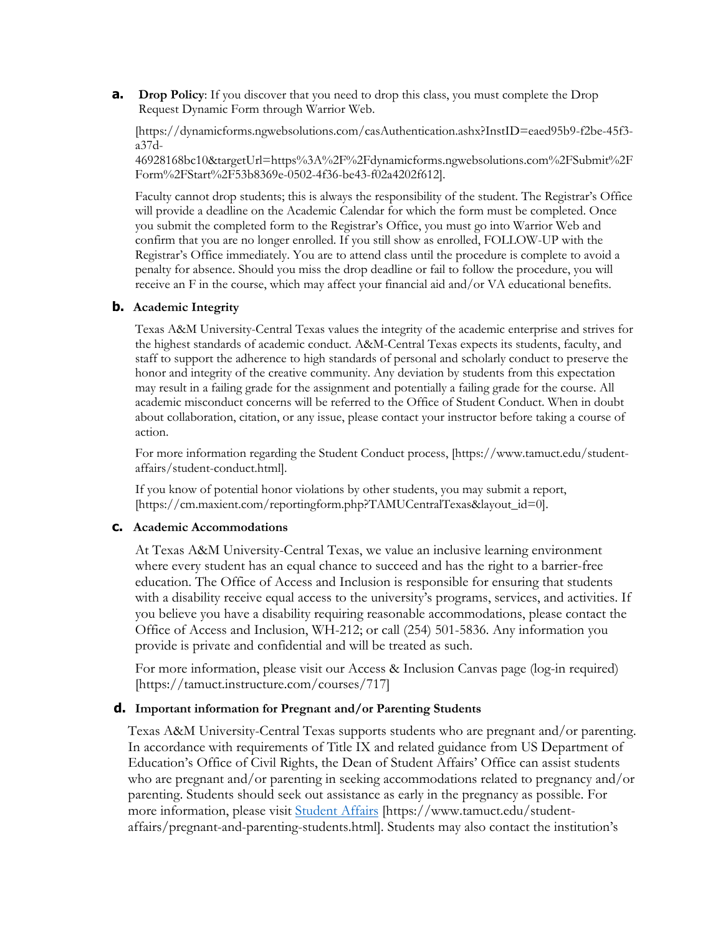**a. Drop Policy**: If you discover that you need to drop this class, you must complete the Drop Request Dynamic Form through Warrior Web.

[https://dynamicforms.ngwebsolutions.com/casAuthentication.ashx?InstID=eaed95b9-f2be-45f3 a37d-

46928168bc10&targetUrl=https%3A%2F%2Fdynamicforms.ngwebsolutions.com%2FSubmit%2F Form%2FStart%2F53b8369e-0502-4f36-be43-f02a4202f612].

Faculty cannot drop students; this is always the responsibility of the student. The Registrar's Office will provide a deadline on the Academic Calendar for which the form must be completed. Once you submit the completed form to the Registrar's Office, you must go into Warrior Web and confirm that you are no longer enrolled. If you still show as enrolled, FOLLOW-UP with the Registrar's Office immediately. You are to attend class until the procedure is complete to avoid a penalty for absence. Should you miss the drop deadline or fail to follow the procedure, you will receive an F in the course, which may affect your financial aid and/or VA educational benefits.

#### **b. Academic Integrity**

Texas A&M University-Central Texas values the integrity of the academic enterprise and strives for the highest standards of academic conduct. A&M-Central Texas expects its students, faculty, and staff to support the adherence to high standards of personal and scholarly conduct to preserve the honor and integrity of the creative community. Any deviation by students from this expectation may result in a failing grade for the assignment and potentially a failing grade for the course. All academic misconduct concerns will be referred to the Office of Student Conduct. When in doubt about collaboration, citation, or any issue, please contact your instructor before taking a course of action.

For more information regarding the Student Conduct process, [https://www.tamuct.edu/studentaffairs/student-conduct.html].

If you know of potential honor violations by other students, you may submit a report, [https://cm.maxient.com/reportingform.php?TAMUCentralTexas&layout\_id=0].

#### **c. Academic Accommodations**

At Texas A&M University-Central Texas, we value an inclusive learning environment where every student has an equal chance to succeed and has the right to a barrier-free education. The Office of Access and Inclusion is responsible for ensuring that students with a disability receive equal access to the university's programs, services, and activities. If you believe you have a disability requiring reasonable accommodations, please contact the Office of Access and Inclusion, WH-212; or call (254) 501-5836. Any information you provide is private and confidential and will be treated as such.

For more information, please visit our Access & Inclusion Canvas page (log-in required) [https://tamuct.instructure.com/courses/717]

#### **d. Important information for Pregnant and/or Parenting Students**

Texas A&M University-Central Texas supports students who are pregnant and/or parenting. In accordance with requirements of Title IX and related guidance from US Department of Education's Office of Civil Rights, the Dean of Student Affairs' Office can assist students who are pregnant and/or parenting in seeking accommodations related to pregnancy and/or parenting. Students should seek out assistance as early in the pregnancy as possible. For more information, please visit Student Affairs [https://www.tamuct.edu/studentaffairs/pregnant-and-parenting-students.html]. Students may also contact the institution's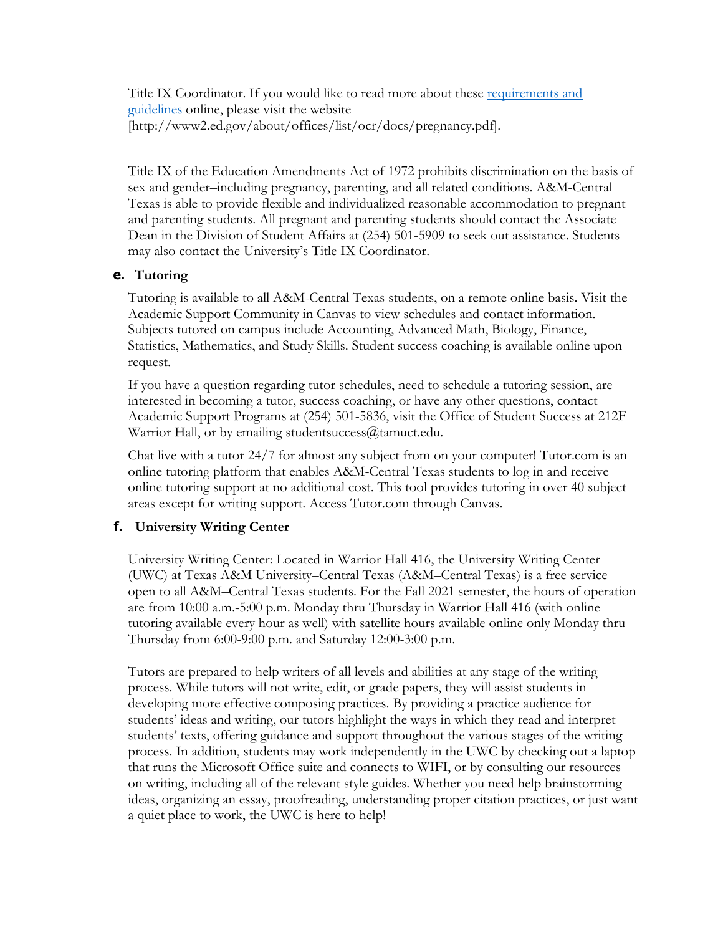Title IX Coordinator. If you would like to read more about these requirements and guidelines online, please visit the website [http://www2.ed.gov/about/offices/list/ocr/docs/pregnancy.pdf].

Title IX of the Education Amendments Act of 1972 prohibits discrimination on the basis of sex and gender–including pregnancy, parenting, and all related conditions. A&M-Central Texas is able to provide flexible and individualized reasonable accommodation to pregnant and parenting students. All pregnant and parenting students should contact the Associate Dean in the Division of Student Affairs at (254) 501-5909 to seek out assistance. Students may also contact the University's Title IX Coordinator.

## **e. Tutoring**

Tutoring is available to all A&M-Central Texas students, on a remote online basis. Visit the Academic Support Community in Canvas to view schedules and contact information. Subjects tutored on campus include Accounting, Advanced Math, Biology, Finance, Statistics, Mathematics, and Study Skills. Student success coaching is available online upon request.

If you have a question regarding tutor schedules, need to schedule a tutoring session, are interested in becoming a tutor, success coaching, or have any other questions, contact Academic Support Programs at (254) 501-5836, visit the Office of Student Success at 212F Warrior Hall, or by emailing studentsuccess@tamuct.edu.

Chat live with a tutor 24/7 for almost any subject from on your computer! Tutor.com is an online tutoring platform that enables A&M-Central Texas students to log in and receive online tutoring support at no additional cost. This tool provides tutoring in over 40 subject areas except for writing support. Access Tutor.com through Canvas.

## **f. University Writing Center**

University Writing Center: Located in Warrior Hall 416, the University Writing Center (UWC) at Texas A&M University–Central Texas (A&M–Central Texas) is a free service open to all A&M–Central Texas students. For the Fall 2021 semester, the hours of operation are from 10:00 a.m.-5:00 p.m. Monday thru Thursday in Warrior Hall 416 (with online tutoring available every hour as well) with satellite hours available online only Monday thru Thursday from 6:00-9:00 p.m. and Saturday 12:00-3:00 p.m.

Tutors are prepared to help writers of all levels and abilities at any stage of the writing process. While tutors will not write, edit, or grade papers, they will assist students in developing more effective composing practices. By providing a practice audience for students' ideas and writing, our tutors highlight the ways in which they read and interpret students' texts, offering guidance and support throughout the various stages of the writing process. In addition, students may work independently in the UWC by checking out a laptop that runs the Microsoft Office suite and connects to WIFI, or by consulting our resources on writing, including all of the relevant style guides. Whether you need help brainstorming ideas, organizing an essay, proofreading, understanding proper citation practices, or just want a quiet place to work, the UWC is here to help!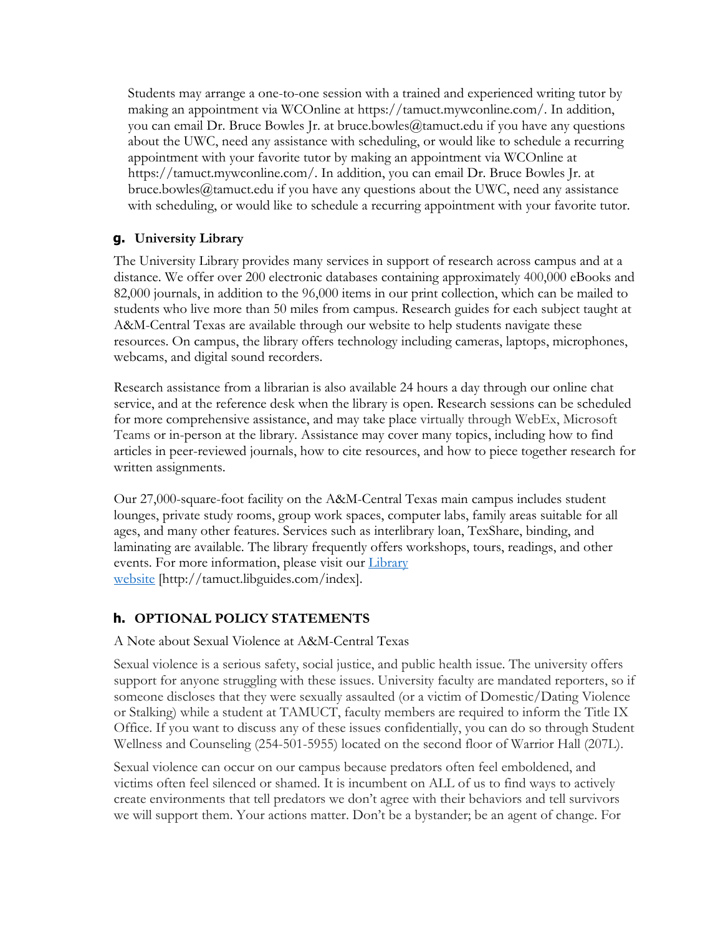Students may arrange a one-to-one session with a trained and experienced writing tutor by making an appointment via WCOnline at https://tamuct.mywconline.com/. In addition, you can email Dr. Bruce Bowles  $\mathfrak{f}$ r. at bruce.bowles $\mathcal{Q}_t$ tamuct.edu if you have any questions about the UWC, need any assistance with scheduling, or would like to schedule a recurring appointment with your favorite tutor by making an appointment via WCOnline at https://tamuct.mywconline.com/. In addition, you can email Dr. Bruce Bowles Jr. at bruce.bowles@tamuct.edu if you have any questions about the UWC, need any assistance with scheduling, or would like to schedule a recurring appointment with your favorite tutor.

## **g. University Library**

The University Library provides many services in support of research across campus and at a distance. We offer over 200 electronic databases containing approximately 400,000 eBooks and 82,000 journals, in addition to the 96,000 items in our print collection, which can be mailed to students who live more than 50 miles from campus. Research guides for each subject taught at A&M-Central Texas are available through our website to help students navigate these resources. On campus, the library offers technology including cameras, laptops, microphones, webcams, and digital sound recorders.

Research assistance from a librarian is also available 24 hours a day through our online chat service, and at the reference desk when the library is open. Research sessions can be scheduled for more comprehensive assistance, and may take place virtually through WebEx, Microsoft Teams or in-person at the library. Assistance may cover many topics, including how to find articles in peer-reviewed journals, how to cite resources, and how to piece together research for written assignments.

Our 27,000-square-foot facility on the A&M-Central Texas main campus includes student lounges, private study rooms, group work spaces, computer labs, family areas suitable for all ages, and many other features. Services such as interlibrary loan, TexShare, binding, and laminating are available. The library frequently offers workshops, tours, readings, and other events. For more information, please visit our *Library* website [http://tamuct.libguides.com/index].

## **h. OPTIONAL POLICY STATEMENTS**

#### A Note about Sexual Violence at A&M-Central Texas

Sexual violence is a serious safety, social justice, and public health issue. The university offers support for anyone struggling with these issues. University faculty are mandated reporters, so if someone discloses that they were sexually assaulted (or a victim of Domestic/Dating Violence or Stalking) while a student at TAMUCT, faculty members are required to inform the Title IX Office. If you want to discuss any of these issues confidentially, you can do so through Student Wellness and Counseling (254-501-5955) located on the second floor of Warrior Hall (207L).

Sexual violence can occur on our campus because predators often feel emboldened, and victims often feel silenced or shamed. It is incumbent on ALL of us to find ways to actively create environments that tell predators we don't agree with their behaviors and tell survivors we will support them. Your actions matter. Don't be a bystander; be an agent of change. For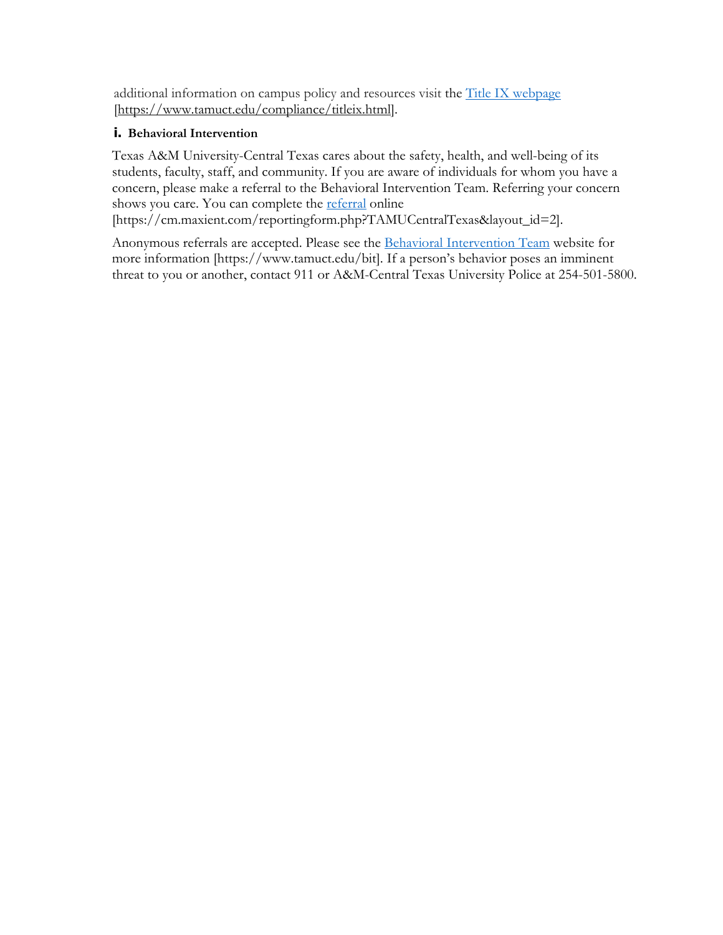additional information on campus policy and resources visit the Title IX webpage [https://www.tamuct.edu/compliance/titleix.html].

### **i. Behavioral Intervention**

Texas A&M University-Central Texas cares about the safety, health, and well-being of its students, faculty, staff, and community. If you are aware of individuals for whom you have a concern, please make a referral to the Behavioral Intervention Team. Referring your concern shows you care. You can complete the referral online

[https://cm.maxient.com/reportingform.php?TAMUCentralTexas&layout\_id=2].

Anonymous referrals are accepted. Please see the Behavioral Intervention Team website for more information [https://www.tamuct.edu/bit]. If a person's behavior poses an imminent threat to you or another, contact 911 or A&M-Central Texas University Police at 254-501-5800.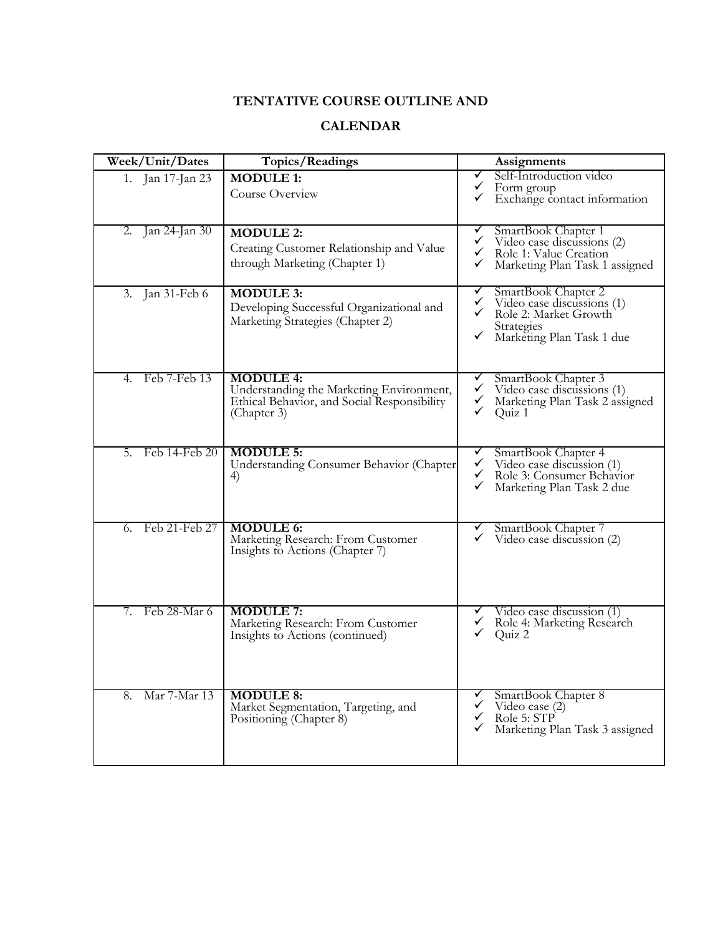## **TENTATIVE COURSE OUTLINE AND**

## **CALENDAR**

| Week/Unit/Dates             | Topics/Readings                                                                                                            | Assignments                                                                                                                                          |
|-----------------------------|----------------------------------------------------------------------------------------------------------------------------|------------------------------------------------------------------------------------------------------------------------------------------------------|
| 1. Jan 17-Jan 23            | <b>MODULE 1:</b><br>Course Overview                                                                                        | Self-Introduction video<br>✓<br>$\checkmark$<br>Form group<br>Exchange contact information<br>✓                                                      |
| Jan 24-Jan 30<br>2.         | <b>MODULE 2:</b><br>Creating Customer Relationship and Value<br>through Marketing (Chapter 1)                              | SmartBook Chapter 1<br>✓<br>✓<br>Video case discussions (2)<br>✓<br>Role 1: Value Creation<br>✓<br>Marketing Plan Task 1 assigned                    |
| Jan 31-Feb 6<br>3.          | <b>MODULE 3:</b><br>Developing Successful Organizational and<br>Marketing Strategies (Chapter 2)                           | ✓<br>SmartBook Chapter 2<br>✓<br>Video case discussions (1)<br>$\checkmark$<br>Role 2: Market Growth<br>Strategies<br>✓<br>Marketing Plan Task 1 due |
| Feb 7-Feb 13<br>$4_{\cdot}$ | <b>MODULE 4:</b><br>Understanding the Marketing Environment,<br>Ethical Behavior, and Social Responsibility<br>(Chapter 3) | SmartBook Chapter 3<br>✓<br>✓<br>Video case discussions (1)<br>✓<br>Marketing Plan Task 2 assigned<br>✓<br>Quiz 1                                    |
| Feb 14-Feb 20<br>5.         | <b>MODULE 5:</b><br>Understanding Consumer Behavior (Chapter<br>4)                                                         | ✓<br>SmartBook Chapter 4<br>✓<br>Video case discussion (1)<br>✓<br>Role 3: Consumer Behavior<br>✓<br>Marketing Plan Task 2 due                       |
| Feb 21-Feb 27<br>6.         | <b>MODULE 6:</b><br>Marketing Research: From Customer<br>Insights to Actions (Chapter 7)                                   | SmartBook Chapter 7<br>✓<br>✓<br>Video case discussion (2)                                                                                           |
| Feb 28-Mar 6<br>7.          | <b>MODULE 7:</b><br>Marketing Research: From Customer<br>Insights to Actions (continued)                                   | ✓<br>Video case discussion (1)<br>✓<br>Role 4: Marketing Research<br>Quiz 2                                                                          |
| Mar 7-Mar 13<br>8.          | <b>MODULE 8:</b><br>Market Segmentation, Targeting, and<br>Positioning (Chapter 8)                                         | SmartBook Chapter 8<br>$\checkmark$<br>Video case (2)<br>Role 5: STP<br>✓<br>✓<br>Marketing Plan Task 3 assigned                                     |